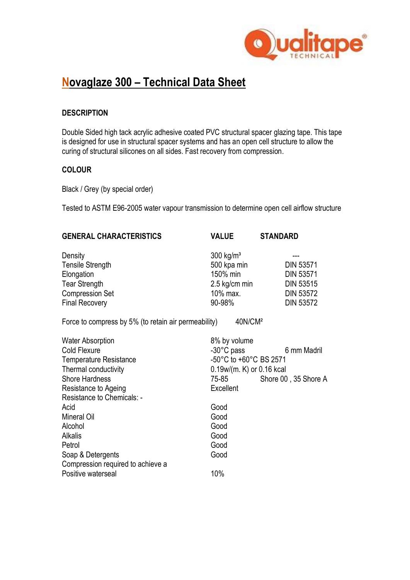

# **Novaglaze 300 – Technical Data Sheet**

#### **DESCRIPTION**

Double Sided high tack acrylic adhesive coated PVC structural spacer glazing tape. This tape is designed for use in structural spacer systems and has an open cell structure to allow the curing of structural silicones on all sides. Fast recovery from compression.

### **COLOUR**

Black / Grey (by special order)

Tested to ASTM E96-2005 water vapour transmission to determine open cell airflow structure

| <b>GENERAL CHARACTERISTICS</b>                       | <b>VALUE</b>            | <b>STANDARD</b>  |  |
|------------------------------------------------------|-------------------------|------------------|--|
| Density                                              | $300$ kg/m <sup>3</sup> |                  |  |
| <b>Tensile Strength</b>                              | 500 kpa min             | <b>DIN 53571</b> |  |
| Elongation                                           | 150% min                | <b>DIN 53571</b> |  |
| <b>Tear Strength</b>                                 | 2.5 kg/cm min           | <b>DIN 53515</b> |  |
| <b>Compression Set</b>                               | 10% max.                | <b>DIN 53572</b> |  |
| <b>Final Recovery</b>                                | 90-98%                  | <b>DIN 53572</b> |  |
| Force to compress by 5% (to retain air permeability) | 40N/CM <sup>2</sup>     |                  |  |

| <b>Water Absorption</b><br>Cold Flexure<br><b>Temperature Resistance</b><br>Thermal conductivity<br><b>Shore Hardness</b><br>Resistance to Ageing | 8% by volume<br>$-30^{\circ}$ C pass<br>-50°C to +60°C BS 2571<br>$0.19w/(m. K)$ or $0.16$ kcal<br>75-85<br>Excellent | 6 mm Madril<br>Shore 00, 35 Shore A |
|---------------------------------------------------------------------------------------------------------------------------------------------------|-----------------------------------------------------------------------------------------------------------------------|-------------------------------------|
| Resistance to Chemicals: -<br>Acid                                                                                                                | Good                                                                                                                  |                                     |
| Mineral Oil                                                                                                                                       | Good                                                                                                                  |                                     |
| Alcohol                                                                                                                                           | Good                                                                                                                  |                                     |
| <b>Alkalis</b>                                                                                                                                    | Good                                                                                                                  |                                     |
| Petrol                                                                                                                                            | Good                                                                                                                  |                                     |
| Soap & Detergents                                                                                                                                 | Good                                                                                                                  |                                     |
| Compression required to achieve a                                                                                                                 |                                                                                                                       |                                     |
| Positive waterseal                                                                                                                                | 10%                                                                                                                   |                                     |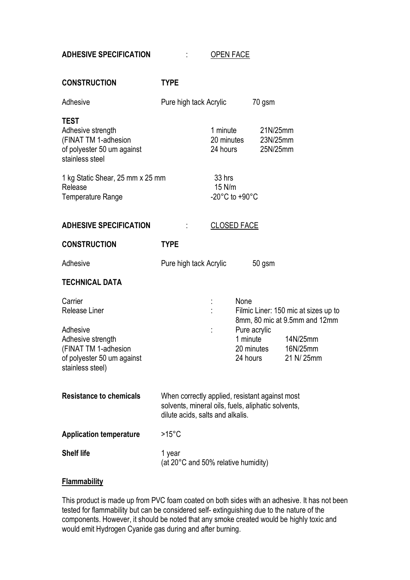# **ADHESIVE SPECIFICATION** : OPEN FACE

| <b>CONSTRUCTION</b>                                                                                       | <b>TYPE</b>                                                                                                                              |                    |                                                                                          |                                                                       |  |
|-----------------------------------------------------------------------------------------------------------|------------------------------------------------------------------------------------------------------------------------------------------|--------------------|------------------------------------------------------------------------------------------|-----------------------------------------------------------------------|--|
| Adhesive                                                                                                  | Pure high tack Acrylic                                                                                                                   |                    |                                                                                          | 70 gsm                                                                |  |
| <b>TEST</b><br>Adhesive strength<br>(FINAT TM 1-adhesion<br>of polyester 50 um against<br>stainless steel |                                                                                                                                          | 1 minute           | 20 minutes<br>24 hours                                                                   | 21N/25mm<br>23N/25mm<br>25N/25mm                                      |  |
| 1 kg Static Shear, 25 mm x 25 mm<br>Release<br>Temperature Range                                          |                                                                                                                                          | 33 hrs<br>$15$ N/m | $-20^{\circ}$ C to $+90^{\circ}$ C                                                       |                                                                       |  |
| <b>ADHESIVE SPECIFICATION</b>                                                                             |                                                                                                                                          | <b>CLOSED FACE</b> |                                                                                          |                                                                       |  |
| <b>CONSTRUCTION</b>                                                                                       | <b>TYPE</b>                                                                                                                              |                    |                                                                                          |                                                                       |  |
| Adhesive                                                                                                  | Pure high tack Acrylic                                                                                                                   |                    |                                                                                          | $50$ gsm                                                              |  |
| <b>TECHNICAL DATA</b>                                                                                     |                                                                                                                                          |                    |                                                                                          |                                                                       |  |
| Carrier<br>Release Liner                                                                                  |                                                                                                                                          |                    | None                                                                                     | Filmic Liner: 150 mic at sizes up to<br>8mm, 80 mic at 9.5mm and 12mm |  |
| Adhesive<br>Adhesive strength<br>(FINAT TM 1-adhesion<br>of polyester 50 um against<br>stainless steel)   |                                                                                                                                          |                    | Pure acrylic<br>1 minute<br>14N/25mm<br>20 minutes<br>16N/25mm<br>21 N/ 25mm<br>24 hours |                                                                       |  |
| <b>Resistance to chemicals</b>                                                                            | When correctly applied, resistant against most<br>solvents, mineral oils, fuels, aliphatic solvents,<br>dilute acids, salts and alkalis. |                    |                                                                                          |                                                                       |  |
| <b>Application temperature</b>                                                                            | $>15^{\circ}$ C                                                                                                                          |                    |                                                                                          |                                                                       |  |
| <b>Shelf life</b>                                                                                         | 1 year<br>(at 20°C and 50% relative humidity)                                                                                            |                    |                                                                                          |                                                                       |  |

### **Flammability**

This product is made up from PVC foam coated on both sides with an adhesive. It has not been tested for flammability but can be considered self- extinguishing due to the nature of the components. However, it should be noted that any smoke created would be highly toxic and would emit Hydrogen Cyanide gas during and after burning.